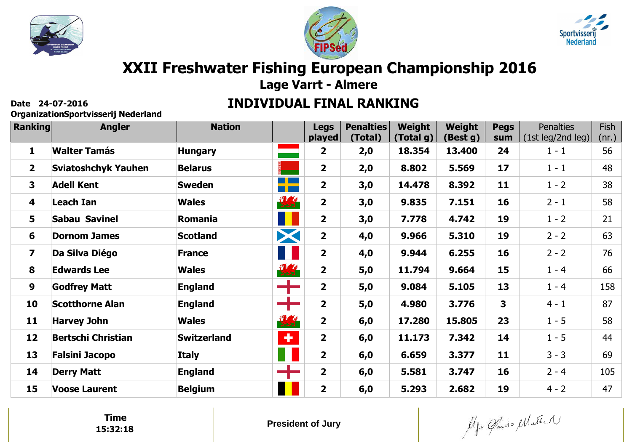





# **XXII Freshwater Fishing European Championship 2016**

**Lage Varrt - Almere**

#### **INDIVIDUAL FINAL RANKING**

**OrganizationSportvisserij Nederland**

| Ranking                 | <b>Angler</b>              | <b>Nation</b>      |                      | <b>Legs</b>             | <b>Penalties</b> | Weight    | Weight   | <b>Pegs</b> | <b>Penalties</b>  | Fish  |
|-------------------------|----------------------------|--------------------|----------------------|-------------------------|------------------|-----------|----------|-------------|-------------------|-------|
|                         |                            |                    |                      | played                  | (Total)          | (Total g) | (Best g) | sum         | (1st leg/2nd leg) | (nr.) |
| $\mathbf{1}$            | <b>Walter Tamás</b>        | <b>Hungary</b>     | <b>Contract</b>      | $\mathbf{2}$            | 2,0              | 18.354    | 13.400   | 24          | $1 - 1$           | 56    |
| $\overline{2}$          | <b>Sviatoshchyk Yauhen</b> | <b>Belarus</b>     |                      | $\overline{\mathbf{2}}$ | 2,0              | 8.802     | 5.569    | 17          | $1 - 1$           | 48    |
| $\overline{\mathbf{3}}$ | <b>Adell Kent</b>          | <b>Sweden</b>      | <u>a ka</u><br>a por | $\overline{\mathbf{2}}$ | 3,0              | 14.478    | 8.392    | 11          | $1 - 2$           | 38    |
| 4                       | Leach Ian                  | <b>Wales</b>       | 要                    | $\overline{\mathbf{2}}$ | 3,0              | 9.835     | 7.151    | 16          | $2 - 1$           | 58    |
| 5                       | <b>Sabau Savinel</b>       | Romania            | П                    | $\overline{2}$          | 3,0              | 7.778     | 4.742    | 19          | $1 - 2$           | 21    |
| 6                       | <b>Dornom James</b>        | <b>Scotland</b>    | X                    | $\overline{2}$          | 4,0              | 9.966     | 5.310    | 19          | $2 - 2$           | 63    |
| $\overline{\mathbf{z}}$ | Da Silva Diégo             | <b>France</b>      | Ш                    | $\overline{\mathbf{2}}$ | 4,0              | 9.944     | 6.255    | 16          | $2 - 2$           | 76    |
| 8                       | <b>Edwards Lee</b>         | <b>Wales</b>       | 要                    | $\overline{\mathbf{2}}$ | $5,0$            | 11.794    | 9.664    | 15          | $1 - 4$           | 66    |
| 9                       | <b>Godfrey Matt</b>        | <b>England</b>     | ╋                    | $\overline{\mathbf{2}}$ | 5,0              | 9.084     | 5.105    | 13          | $1 - 4$           | 158   |
| 10                      | <b>Scotthorne Alan</b>     | <b>England</b>     | $\div$               | $\overline{\mathbf{2}}$ | 5,0              | 4.980     | 3.776    | 3           | $4 - 1$           | 87    |
| 11                      | <b>Harvey John</b>         | <b>Wales</b>       | 東京                   | $\overline{\mathbf{2}}$ | 6,0              | 17.280    | 15.805   | 23          | $1 - 5$           | 58    |
| 12                      | <b>Bertschi Christian</b>  | <b>Switzerland</b> | $\ddot{\phantom{1}}$ | $\overline{2}$          | 6,0              | 11.173    | 7.342    | 14          | $1 - 5$           | 44    |
| 13                      | <b>Falsini Jacopo</b>      | <b>Italy</b>       | 11                   | $\overline{\mathbf{2}}$ | 6,0              | 6.659     | 3.377    | 11          | $3 - 3$           | 69    |
| 14                      | <b>Derry Matt</b>          | <b>England</b>     | ┿                    | $\overline{\mathbf{2}}$ | 6,0              | 5.581     | 3.747    | 16          | $2 - 4$           | 105   |
| 15                      | <b>Voose Laurent</b>       | <b>Belgium</b>     | Ш                    | $\overline{\mathbf{2}}$ | 6,0              | 5.293     | 2.682    | 19          | $4 - 2$           | 47    |

**Time15:32:18**

Algo Cando Matter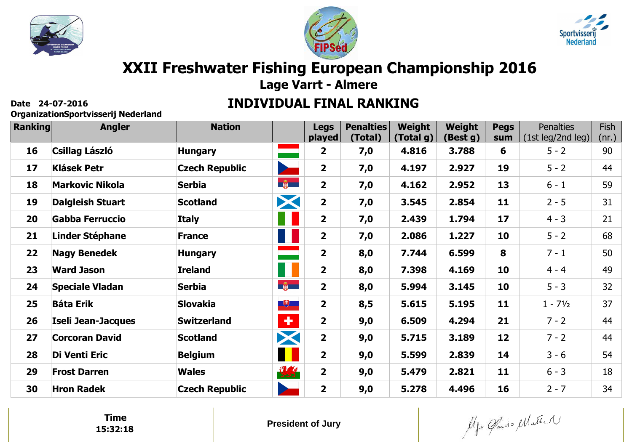





# **XXII Freshwater Fishing European Championship 2016**

**Lage Varrt - Almere**

#### **INDIVIDUAL FINAL RANKING**

**OrganizationSportvisserij Nederland**

| Ranking | <b>Angler</b>           | <b>Nation</b>         |                          | <b>Legs</b>             | <b>Penalties</b> | Weight    | Weight   | <b>Pegs</b> | <b>Penalties</b>   | Fish  |
|---------|-------------------------|-----------------------|--------------------------|-------------------------|------------------|-----------|----------|-------------|--------------------|-------|
|         |                         |                       |                          | played                  | (Total)          | (Total g) | (Best g) | sum         | (1st leg/2nd leg)  | (nr.) |
| 16      | <b>Csillag László</b>   | <b>Hungary</b>        | <b>Contract</b>          | $\mathbf{2}$            | 7,0              | 4.816     | 3.788    | 6           | $5 - 2$            | 90    |
| 17      | <b>Klásek Petr</b>      | <b>Czech Republic</b> | $\overline{\phantom{a}}$ | $\overline{2}$          | 7,0              | 4.197     | 2.927    | 19          | $5 - 2$            | 44    |
| 18      | <b>Markovic Nikola</b>  | <b>Serbia</b>         | $\frac{1}{2}$            | $\overline{2}$          | 7,0              | 4.162     | 2.952    | 13          | $6 - 1$            | 59    |
| 19      | <b>Dalgleish Stuart</b> | <b>Scotland</b>       | X                        | $\mathbf{2}$            | 7,0              | 3.545     | 2.854    | 11          | $2 - 5$            | 31    |
| 20      | <b>Gabba Ferruccio</b>  | <b>Italy</b>          | Ш                        | $\overline{\mathbf{2}}$ | 7,0              | 2.439     | 1.794    | 17          | $4 - 3$            | 21    |
| 21      | <b>Linder Stéphane</b>  | <b>France</b>         | 11                       | $\mathbf{2}$            | 7,0              | 2.086     | 1.227    | 10          | $5 - 2$            | 68    |
| 22      | <b>Nagy Benedek</b>     | <b>Hungary</b>        | ═                        | $\overline{\mathbf{2}}$ | 8,0              | 7.744     | 6.599    | 8           | $7 - 1$            | 50    |
| 23      | <b>Ward Jason</b>       | <b>Ireland</b>        | H                        | $\overline{2}$          | 8,0              | 7.398     | 4.169    | 10          | $4 - 4$            | 49    |
| 24      | <b>Speciale Vladan</b>  | <b>Serbia</b>         | $-\frac{2}{100}$         | $\overline{2}$          | 8,0              | 5.994     | 3.145    | 10          | $5 - 3$            | 32    |
| 25      | <b>Báta Erik</b>        | <b>Slovakia</b>       | $\Box$                   | $\mathbf{2}$            | 8,5              | 5.615     | 5.195    | 11          | $1 - 7\frac{1}{2}$ | 37    |
| 26      | Iseli Jean-Jacques      | <b>Switzerland</b>    | $\bullet$                | $\overline{2}$          | 9,0              | 6.509     | 4.294    | 21          | $7 - 2$            | 44    |
| 27      | <b>Corcoran David</b>   | <b>Scotland</b>       | X                        | $\overline{2}$          | 9,0              | 5.715     | 3.189    | 12          | $7 - 2$            | 44    |
| 28      | Di Venti Eric           | <b>Belgium</b>        | H                        | $\overline{2}$          | 9,0              | 5.599     | 2.839    | 14          | $3 - 6$            | 54    |
| 29      | <b>Frost Darren</b>     | <b>Wales</b>          | 要                        | $\overline{\mathbf{2}}$ | 9,0              | 5.479     | 2.821    | 11          | $6 - 3$            | 18    |
| 30      | <b>Hron Radek</b>       | <b>Czech Republic</b> | <b>Septiment</b>         | $\overline{2}$          | 9,0              | 5.278     | 4.496    | 16          | $2 - 7$            | 34    |

**Time15:32:18**

Algo Cando Matter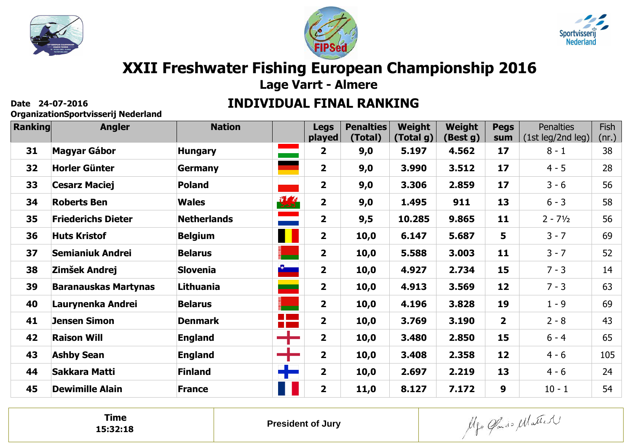





# **XXII Freshwater Fishing European Championship 2016**

**Lage Varrt - Almere**

#### **INDIVIDUAL FINAL RANKING**

**OrganizationSportvisserij Nederland**

| <b>Ranking</b> | <b>Angler</b>               | <b>Nation</b>      |                                  | <b>Legs</b><br>played   | <b>Penalties</b><br>(Total) | Weight<br>(Total g) | Weight<br>(Best g) | <b>Pegs</b><br>sum      | <b>Penalties</b><br>(1st leg/2nd leg) | Fish<br><u>(nr.)</u> |
|----------------|-----------------------------|--------------------|----------------------------------|-------------------------|-----------------------------|---------------------|--------------------|-------------------------|---------------------------------------|----------------------|
| 31             | <b>Magyar Gábor</b>         | <b>Hungary</b>     | <u>e a s</u>                     | $\overline{2}$          | 9,0                         | 5.197               | 4.562              | 17                      | $8 - 1$                               | 38                   |
| 32             | <b>Horler Günter</b>        | <b>Germany</b>     |                                  | $\overline{\mathbf{2}}$ | 9,0                         | 3.990               | 3.512              | 17                      | $4 - 5$                               | 28                   |
| 33             | <b>Cesarz Maciej</b>        | <b>Poland</b>      |                                  | $\overline{2}$          | 9,0                         | 3.306               | 2.859              | 17                      | $3 - 6$                               | 56                   |
| 34             | <b>Roberts Ben</b>          | <b>Wales</b>       | 现                                | $\overline{\mathbf{2}}$ | 9,0                         | 1.495               | 911                | 13                      | $6 - 3$                               | 58                   |
| 35             | <b>Friederichs Dieter</b>   | <b>Netherlands</b> |                                  | $\overline{\mathbf{2}}$ | 9,5                         | 10.285              | 9.865              | 11                      | $2 - 7\frac{1}{2}$                    | 56                   |
| 36             | <b>Huts Kristof</b>         | <b>Belgium</b>     | H                                | $\overline{2}$          | 10,0                        | 6.147               | 5.687              | 5                       | $3 - 7$                               | 69                   |
| 37             | <b>Semianiuk Andrei</b>     | <b>Belarus</b>     | ÷                                | $\overline{2}$          | 10,0                        | 5.588               | 3.003              | 11                      | $3 - 7$                               | 52                   |
| 38             | Zimšek Andrej               | <b>Slovenia</b>    | $\frac{3}{2}$                    | $\overline{2}$          | 10,0                        | 4.927               | 2.734              | 15                      | $7 - 3$                               | 14                   |
| 39             | <b>Baranauskas Martynas</b> | Lithuania          | <u>a sa</u>                      | $\overline{2}$          | 10,0                        | 4.913               | 3.569              | 12                      | $7 - 3$                               | 63                   |
| 40             | Laurynenka Andrei           | <b>Belarus</b>     | ٠                                | $\overline{2}$          | 10,0                        | 4.196               | 3.828              | 19                      | $1 - 9$                               | 69                   |
| 41             | <b>Jensen Simon</b>         | <b>Denmark</b>     | $\mathbb{R}^n$<br><b>College</b> | $\overline{2}$          | 10,0                        | 3.769               | 3.190              | $\overline{\mathbf{2}}$ | $2 - 8$                               | 43                   |
| 42             | <b>Raison Will</b>          | <b>England</b>     |                                  | $\overline{2}$          | 10,0                        | 3.480               | 2.850              | 15                      | $6 - 4$                               | 65                   |
| 43             | <b>Ashby Sean</b>           | <b>England</b>     |                                  | $\overline{\mathbf{2}}$ | 10,0                        | 3.408               | 2.358              | 12                      | $4 - 6$                               | 105                  |
| 44             | Sakkara Matti               | <b>Finland</b>     | ╉                                | $\overline{2}$          | 10,0                        | 2.697               | 2.219              | 13                      | $4 - 6$                               | 24                   |
| 45             | <b>Dewimille Alain</b>      | <b>France</b>      | H                                | $\overline{2}$          | 11,0                        | 8.127               | 7.172              | 9                       | $10 - 1$                              | 54                   |

**Time15:32:18**

Algo Cando Matter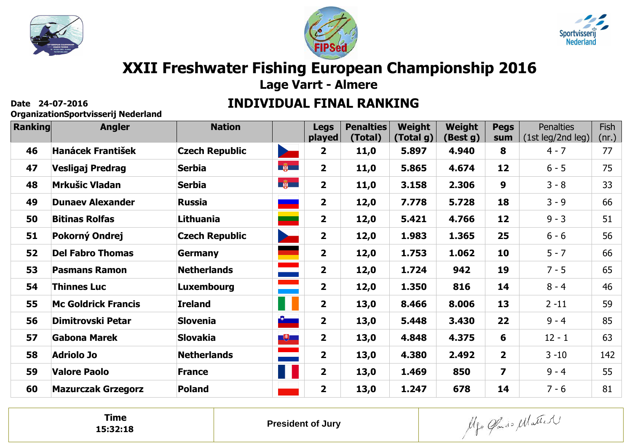





# **XXII Freshwater Fishing European Championship 2016**

**Lage Varrt - Almere**

#### **INDIVIDUAL FINAL RANKING**

**OrganizationSportvisserij Nederland**

| Ranking | <b>Angler</b>              | <b>Nation</b>         |                                                                                                                         | <b>Legs</b>             | <b>Penalties</b> | Weight    | Weight   | <b>Pegs</b>             | <b>Penalties</b>  | Fish          |
|---------|----------------------------|-----------------------|-------------------------------------------------------------------------------------------------------------------------|-------------------------|------------------|-----------|----------|-------------------------|-------------------|---------------|
|         |                            |                       |                                                                                                                         | played                  | (Total)          | (Total g) | (Best g) | sum                     | (1st leg/2nd leg) | <u>(nr.) </u> |
| 46      | <b>Hanácek František</b>   | <b>Czech Republic</b> | $\overline{\phantom{a}}$                                                                                                | $\mathbf{2}$            | 11,0             | 5.897     | 4.940    | 8                       | $4 - 7$           | 77            |
| 47      | Vesligaj Predrag           | <b>Serbia</b>         | $\frac{1}{2}$                                                                                                           | $\overline{2}$          | 11,0             | 5.865     | 4.674    | 12                      | $6 - 5$           | 75            |
| 48      | <b>Mrkušic Vladan</b>      | <b>Serbia</b>         | 第一                                                                                                                      | $\overline{2}$          | 11,0             | 3.158     | 2.306    | 9                       | $3 - 8$           | 33            |
| 49      | <b>Dunaev Alexander</b>    | <b>Russia</b>         | م المنابع المنابع المنابع المنابع المنابع المنابع المنابع المنابع المنابع المنابع المنابع المنابع ال<br>المنابع المنابع | $\overline{\mathbf{2}}$ | 12,0             | 7.778     | 5.728    | 18                      | $3 - 9$           | 66            |
| 50      | <b>Bitinas Rolfas</b>      | Lithuania             | <u>a a s</u>                                                                                                            | $\overline{2}$          | 12,0             | 5.421     | 4.766    | 12                      | $9 - 3$           | 51            |
| 51      | Pokorný Ondrej             | <b>Czech Republic</b> | $\sum$                                                                                                                  | $\overline{2}$          | 12,0             | 1.983     | 1.365    | 25                      | $6 - 6$           | 56            |
| 52      | <b>Del Fabro Thomas</b>    | <b>Germany</b>        | ۰                                                                                                                       | $\overline{\mathbf{2}}$ | 12,0             | 1.753     | 1.062    | 10                      | $5 - 7$           | 66            |
| 53      | <b>Pasmans Ramon</b>       | <b>Netherlands</b>    | $\equiv$                                                                                                                | $\overline{2}$          | 12,0             | 1.724     | 942      | 19                      | $7 - 5$           | 65            |
| 54      | <b>Thinnes Luc</b>         | Luxembourg            |                                                                                                                         | $\overline{2}$          | 12,0             | 1.350     | 816      | 14                      | $8 - 4$           | 46            |
| 55      | <b>Mc Goldrick Francis</b> | <b>Ireland</b>        | Ш                                                                                                                       | $\overline{2}$          | 13,0             | 8.466     | 8.006    | 13                      | $2 - 11$          | 59            |
| 56      | Dimitrovski Petar          | <b>Slovenia</b>       |                                                                                                                         | $\overline{\mathbf{2}}$ | 13,0             | 5.448     | 3.430    | 22                      | $9 - 4$           | 85            |
| 57      | Gabona Marek               | <b>Slovakia</b>       | $\Box$                                                                                                                  | $\mathbf{2}$            | 13,0             | 4.848     | 4.375    | 6                       | $12 - 1$          | 63            |
| 58      | <b>Adriolo Jo</b>          | <b>Netherlands</b>    | $\equiv$                                                                                                                | $\overline{2}$          | 13,0             | 4.380     | 2.492    | $\overline{\mathbf{2}}$ | $3 - 10$          | 142           |
| 59      | <b>Valore Paolo</b>        | <b>France</b>         | 11                                                                                                                      | $\mathbf{2}$            | 13,0             | 1.469     | 850      | $\overline{\mathbf{z}}$ | $9 - 4$           | 55            |
| 60      | <b>Mazurczak Grzegorz</b>  | <b>Poland</b>         |                                                                                                                         | $\mathbf{2}$            | 13,0             | 1.247     | 678      | 14                      | $7 - 6$           | 81            |

**Time15:32:18**

Algo Cando Matter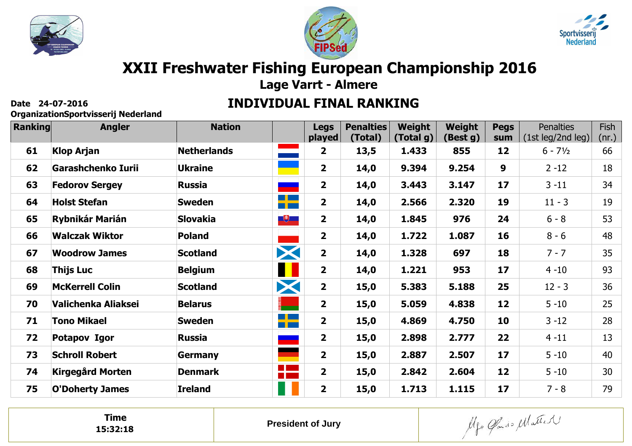





# **XXII Freshwater Fishing European Championship 2016**

**Lage Varrt - Almere**

#### **INDIVIDUAL FINAL RANKING**

**OrganizationSportvisserij Nederland**

| Ranking | <b>Angler</b>           | <b>Nation</b>      |                                  | <b>Legs</b><br>played   | <b>Penalties</b><br>(Total) | Weight<br>(Total g) | Weight<br>(Best g) | <b>Pegs</b><br>sum | <b>Penalties</b><br>(1st leg/2nd leg) | Fish<br>$(nr.)$ $\mid$ |
|---------|-------------------------|--------------------|----------------------------------|-------------------------|-----------------------------|---------------------|--------------------|--------------------|---------------------------------------|------------------------|
| 61      | <b>Klop Arjan</b>       | <b>Netherlands</b> | and the company                  | $\overline{\mathbf{2}}$ | 13,5                        | 1.433               | 855                | 12                 | $6 - 7\frac{1}{2}$                    | 66                     |
| 62      | Garashchenko Iurii      | <b>Ukraine</b>     |                                  | $\overline{2}$          | 14,0                        | 9.394               | 9.254              | $\boldsymbol{9}$   | $2 - 12$                              | 18                     |
| 63      | <b>Fedorov Sergey</b>   | <b>Russia</b>      | -                                | $\overline{2}$          | 14,0                        | 3.443               | 3.147              | 17                 | $3 - 11$                              | 34                     |
| 64      | <b>Holst Stefan</b>     | <b>Sweden</b>      | <b>RICHAEL</b>                   | $\overline{\mathbf{2}}$ | 14,0                        | 2.566               | 2.320              | 19                 | $11 - 3$                              | 19                     |
| 65      | <b>Rybnikár Marián</b>  | <b>Slovakia</b>    | $\overline{u}$                   | $\overline{2}$          | 14,0                        | 1.845               | 976                | 24                 | $6 - 8$                               | 53                     |
| 66      | <b>Walczak Wiktor</b>   | <b>Poland</b>      |                                  | $\overline{\mathbf{2}}$ | 14,0                        | 1.722               | 1.087              | 16                 | $8 - 6$                               | 48                     |
| 67      | <b>Woodrow James</b>    | <b>Scotland</b>    | X                                | $\overline{2}$          | 14,0                        | 1.328               | 697                | 18                 | $7 - 7$                               | 35                     |
| 68      | <b>Thijs Luc</b>        | <b>Belgium</b>     | ∎∎                               | $\overline{\mathbf{2}}$ | 14,0                        | 1.221               | 953                | 17                 | $4 - 10$                              | 93                     |
| 69      | <b>McKerrell Colin</b>  | <b>Scotland</b>    | X                                | $\overline{2}$          | 15,0                        | 5.383               | 5.188              | 25                 | $12 - 3$                              | 36                     |
| 70      | Valichenka Aliaksei     | <b>Belarus</b>     | ۳                                | $\overline{\mathbf{2}}$ | 15,0                        | 5.059               | 4.838              | 12                 | $5 - 10$                              | 25                     |
| 71      | <b>Tono Mikael</b>      | <b>Sweden</b>      | $\blacksquare$<br><u>ra post</u> | $\overline{2}$          | 15,0                        | 4.869               | 4.750              | 10                 | $3 - 12$                              | 28                     |
| 72      | Potapov Igor            | <b>Russia</b>      |                                  | $\overline{2}$          | 15,0                        | 2.898               | 2.777              | 22                 | $4 - 11$                              | 13                     |
| 73      | <b>Schroll Robert</b>   | <b>Germany</b>     |                                  | $\overline{2}$          | 15,0                        | 2.887               | 2.507              | 17                 | $5 - 10$                              | 40                     |
| 74      | <b>Kirgegård Morten</b> | <b>Denmark</b>     | a pa                             | $\overline{\mathbf{2}}$ | 15,0                        | 2.842               | 2.604              | 12                 | $5 - 10$                              | 30                     |
| 75      | <b>O'Doherty James</b>  | <b>Ireland</b>     |                                  | $\overline{2}$          | 15,0                        | 1.713               | 1.115              | 17                 | $7 - 8$                               | 79                     |

**Time15:32:18**

Algo Cando Matter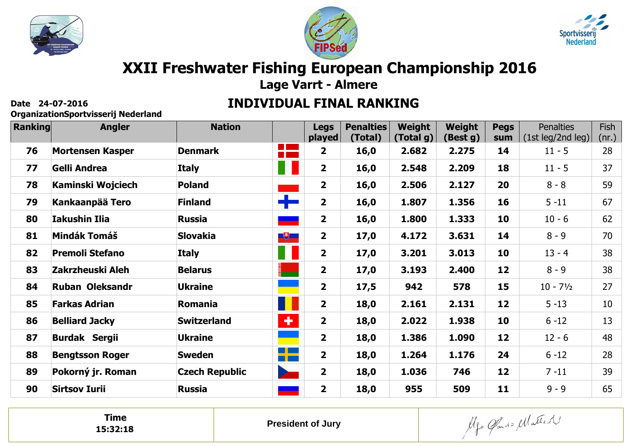





# **XXII Freshwater Fishing European Championship 2016**

**Lage Varrt - Almere**

#### **INDIVIDUAL FINAL RANKING**

**OrganizationSportvisserij Nederland**

| Ranking | <b>Angler</b>           | <b>Nation</b>         |                       | <b>Legs</b><br>played   | <b>Penalties</b><br>(Total) | Weight<br>(Total g) | Weight<br>(Best g) | <b>Pegs</b><br>sum | <b>Penalties</b><br>(1st leg/2nd leg) | Fish<br>(nr.) |
|---------|-------------------------|-----------------------|-----------------------|-------------------------|-----------------------------|---------------------|--------------------|--------------------|---------------------------------------|---------------|
| 76      | <b>Mortensen Kasper</b> | <b>Denmark</b>        | 2 M                   | $\overline{\mathbf{2}}$ | 16,0                        | 2.682               | 2.275              | 14                 | $11 - 5$                              | 28            |
| 77      | Gelli Andrea            | <b>Italy</b>          | W                     | $\overline{2}$          | 16,0                        | 2.548               | 2.209              | 18                 | $11 - 5$                              | 37            |
| 78      | Kaminski Wojciech       | <b>Poland</b>         |                       | $\overline{2}$          | 16,0                        | 2.506               | 2.127              | 20                 | $8 - 8$                               | 59            |
| 79      | Kankaanpää Tero         | <b>Finland</b>        | 42                    | $\overline{\mathbf{2}}$ | 16,0                        | 1.807               | 1.356              | 16                 | $5 - 11$                              | 67            |
| 80      | <b>Iakushin Ilia</b>    | <b>Russia</b>         |                       | $\overline{2}$          | 16,0                        | 1.800               | 1.333              | 10                 | $10 - 6$                              | 62            |
| 81      | <b>Mindák Tomáš</b>     | <b>Slovakia</b>       | $\mathbb{R}^+$        | $\overline{2}$          | 17,0                        | 4.172               | 3.631              | 14                 | $8 - 9$                               | 70            |
| 82      | <b>Premoli Stefano</b>  | <b>Italy</b>          | 11                    | $\overline{2}$          | 17,0                        | 3.201               | 3.013              | 10                 | $13 - 4$                              | 38            |
| 83      | Zakrzheuski Aleh        | <b>Belarus</b>        | $\blacktriangleright$ | $\overline{\mathbf{2}}$ | 17,0                        | 3.193               | 2.400              | 12                 | $8 - 9$                               | 38            |
| 84      | <b>Ruban Oleksandr</b>  | <b>Ukraine</b>        |                       | $\overline{2}$          | 17,5                        | 942                 | 578                | 15                 | $10 - 7\frac{1}{2}$                   | 27            |
| 85      | <b>Farkas Adrian</b>    | Romania               | п                     | $\overline{2}$          | 18,0                        | 2.161               | 2.131              | 12                 | $5 - 13$                              | 10            |
| 86      | <b>Belliard Jacky</b>   | <b>Switzerland</b>    | $\ddot{\phantom{1}}$  | $\overline{2}$          | 18,0                        | 2.022               | 1.938              | 10                 | $6 - 12$                              | 13            |
| 87      | <b>Burdak Sergii</b>    | <b>Ukraine</b>        |                       | $\overline{2}$          | 18,0                        | 1.386               | 1.090              | 12                 | $12 - 6$                              | 48            |
| 88      | <b>Bengtsson Roger</b>  | <b>Sweden</b>         | ٢F                    | $\overline{\mathbf{2}}$ | 18,0                        | 1.264               | 1.176              | 24                 | $6 - 12$                              | 28            |
| 89      | Pokorný jr. Roman       | <b>Czech Republic</b> | $\sum_{i=1}^n$        | $\overline{2}$          | 18,0                        | 1.036               | 746                | 12                 | $7 - 11$                              | 39            |
| 90      | <b>Sirtsov Iurii</b>    | <b>Russia</b>         | -                     | $\overline{2}$          | 18,0                        | 955                 | 509                | 11                 | $9 - 9$                               | 65            |

**Time15:32:18**

Algo Cando Matter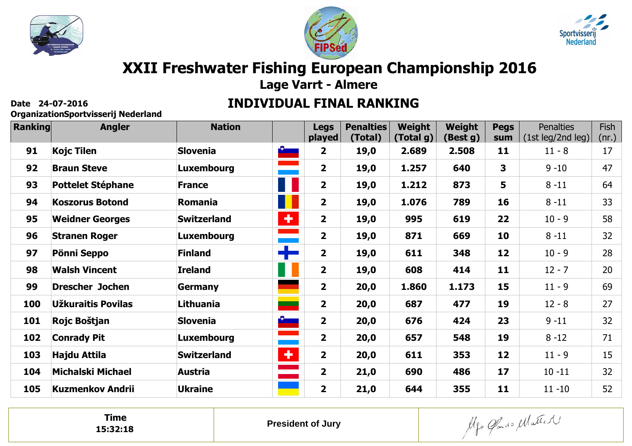





# **XXII Freshwater Fishing European Championship 2016**

**Lage Varrt - Almere**

#### **INDIVIDUAL FINAL RANKING**

**OrganizationSportvisserij Nederland**

| <b>Ranking</b> | <b>Angler</b>            | <b>Nation</b>      |                               | <b>Legs</b><br>played   | <b>Penalties</b><br>(Total) | Weight<br>(Total g) | Weight<br>(Best g) | <b>Pegs</b><br>sum | <b>Penalties</b><br>(1st leg/2nd leg) | Fish<br>(nr.) |
|----------------|--------------------------|--------------------|-------------------------------|-------------------------|-----------------------------|---------------------|--------------------|--------------------|---------------------------------------|---------------|
| 91             | <b>Kojc Tilen</b>        | <b>Slovenia</b>    | <b>Contract of the Second</b> | $\overline{2}$          | 19,0                        | 2.689               | 2.508              | 11                 | $11 - 8$                              | 17            |
| 92             | <b>Braun Steve</b>       | <b>Luxembourg</b>  | ÷                             | $\overline{2}$          | 19,0                        | 1.257               | 640                | 3                  | $9 - 10$                              | 47            |
| 93             | <b>Pottelet Stéphane</b> | <b>France</b>      | Ш                             | $\overline{2}$          | 19,0                        | 1.212               | 873                | 5                  | $8 - 11$                              | 64            |
| 94             | <b>Koszorus Botond</b>   | Romania            | П                             | $\overline{\mathbf{2}}$ | 19,0                        | 1.076               | 789                | 16                 | $8 - 11$                              | 33            |
| 95             | <b>Weidner Georges</b>   | <b>Switzerland</b> | Ð                             | $\overline{2}$          | 19,0                        | 995                 | 619                | 22                 | $10 - 9$                              | 58            |
| 96             | <b>Stranen Roger</b>     | <b>Luxembourg</b>  |                               | $\overline{2}$          | 19,0                        | 871                 | 669                | 10                 | $8 - 11$                              | 32            |
| 97             | Pönni Seppo              | <b>Finland</b>     | ┿                             | $\overline{\mathbf{2}}$ | 19,0                        | 611                 | 348                | 12                 | $10 - 9$                              | 28            |
| 98             | <b>Walsh Vincent</b>     | <b>Ireland</b>     | H                             | $\overline{2}$          | 19,0                        | 608                 | 414                | 11                 | $12 - 7$                              | 20            |
| 99             | <b>Drescher Jochen</b>   | <b>Germany</b>     |                               | $\overline{\mathbf{2}}$ | 20,0                        | 1.860               | 1.173              | 15                 | $11 - 9$                              | 69            |
| 100            | Užkuraitis Povilas       | Lithuania          | ╾                             | $\overline{\mathbf{2}}$ | 20,0                        | 687                 | 477                | 19                 | $12 - 8$                              | 27            |
| 101            | Rojc Boštjan             | <b>Slovenia</b>    |                               | $\overline{2}$          | 20,0                        | 676                 | 424                | 23                 | $9 - 11$                              | 32            |
| 102            | <b>Conrady Pit</b>       | <b>Luxembourg</b>  | <u>e a s</u>                  | $\overline{\mathbf{2}}$ | 20,0                        | 657                 | 548                | 19                 | $8 - 12$                              | 71            |
| 103            | Hajdu Attila             | <b>Switzerland</b> | ÷                             | $\overline{2}$          | 20,0                        | 611                 | 353                | 12                 | $11 - 9$                              | 15            |
| 104            | <b>Michalski Michael</b> | <b>Austria</b>     |                               | $\overline{2}$          | 21,0                        | 690                 | 486                | 17                 | $10 - 11$                             | 32            |
| 105            | <b>Kuzmenkov Andrii</b>  | <b>Ukraine</b>     |                               | $\overline{\mathbf{2}}$ | 21,0                        | 644                 | 355                | 11                 | $11 - 10$                             | 52            |

**Time15:32:18**

Algo Cando Matter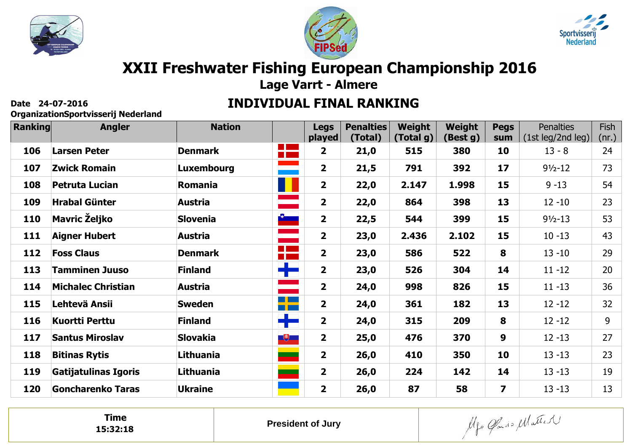





# **XXII Freshwater Fishing European Championship 2016**

**Lage Varrt - Almere**

#### **INDIVIDUAL FINAL RANKING**

**OrganizationSportvisserij Nederland**

| <b>Ranking</b> | <b>Angler</b>             | <b>Nation</b>     |                                                                                                                                                                                                                                 | <b>Legs</b><br>played   | <b>Penalties</b><br>(Total) | Weight<br>(Total g) | Weight<br>(Best g) | <b>Pegs</b><br>sum      | <b>Penalties</b><br>(1st leg/2nd leg) | Fish<br>(nr.) |
|----------------|---------------------------|-------------------|---------------------------------------------------------------------------------------------------------------------------------------------------------------------------------------------------------------------------------|-------------------------|-----------------------------|---------------------|--------------------|-------------------------|---------------------------------------|---------------|
| 106            | <b>Larsen Peter</b>       | <b>Denmark</b>    | 2 M                                                                                                                                                                                                                             | 2                       | 21,0                        | 515                 | 380                | 10                      | $13 - 8$                              | 24            |
| 107            | <b>Zwick Romain</b>       | <b>Luxembourg</b> | ana<br>Marejeo                                                                                                                                                                                                                  | $\mathbf{2}$            | 21,5                        | 791                 | 392                | 17                      | $91/2 - 12$                           | 73            |
| 108            | <b>Petruta Lucian</b>     | <b>Romania</b>    | U                                                                                                                                                                                                                               | $\overline{\mathbf{2}}$ | 22,0                        | 2.147               | 1.998              | 15                      | $9 - 13$                              | 54            |
| 109            | <b>Hrabal Günter</b>      | Austria           |                                                                                                                                                                                                                                 | $\overline{\mathbf{2}}$ | 22,0                        | 864                 | 398                | 13                      | $12 - 10$                             | 23            |
| 110            | <b>Mavric Željko</b>      | <b>Slovenia</b>   | $\frac{3}{2}$                                                                                                                                                                                                                   | $\overline{\mathbf{2}}$ | 22,5                        | 544                 | 399                | 15                      | $91/2 - 13$                           | 53            |
| 111            | <b>Aigner Hubert</b>      | Austria           | <u>ana</u>                                                                                                                                                                                                                      | $\overline{\mathbf{2}}$ | 23,0                        | 2.436               | 2.102              | 15                      | $10 - 13$                             | 43            |
| 112            | <b>Foss Claus</b>         | <b>Denmark</b>    | a po                                                                                                                                                                                                                            | $\overline{\mathbf{2}}$ | 23,0                        | 586                 | 522                | 8                       | $13 - 10$                             | 29            |
| 113            | <b>Tamminen Juuso</b>     | <b>Finland</b>    | ┽╾                                                                                                                                                                                                                              | $\overline{\mathbf{2}}$ | 23,0                        | 526                 | 304                | 14                      | $11 - 12$                             | 20            |
| 114            | <b>Michalec Christian</b> | <b>Austria</b>    |                                                                                                                                                                                                                                 | $\overline{\mathbf{2}}$ | 24,0                        | 998                 | 826                | 15                      | $11 - 13$                             | 36            |
| 115            | Lehtevä Ansii             | <b>Sweden</b>     | ┽╾                                                                                                                                                                                                                              | $\overline{\mathbf{2}}$ | 24,0                        | 361                 | 182                | 13                      | $12 - 12$                             | 32            |
| 116            | <b>Kuortti Perttu</b>     | <b>Finland</b>    | $\frac{1}{\sqrt{2}}$                                                                                                                                                                                                            | $\overline{\mathbf{2}}$ | 24,0                        | 315                 | 209                | 8                       | $12 - 12$                             | 9             |
| 117            | <b>Santus Miroslav</b>    | <b>Slovakia</b>   | $\Box$                                                                                                                                                                                                                          | $\overline{\mathbf{2}}$ | 25,0                        | 476                 | 370                | 9                       | $12 - 13$                             | 27            |
| 118            | <b>Bitinas Rytis</b>      | Lithuania         | ۰                                                                                                                                                                                                                               | $\overline{2}$          | 26,0                        | 410                 | 350                | 10                      | $13 - 13$                             | 23            |
| 119            | Gatijatulinas Igoris      | Lithuania         | e e de la partir de la partir de la partir de la partir de la partir de la partir de la partir de la partir d<br>La partir de la partir de la partir de la partir de la partir de la partir de la partir de la partir de la par | $\overline{\mathbf{2}}$ | 26,0                        | 224                 | 142                | 14                      | $13 - 13$                             | 19            |
| 120            | <b>Goncharenko Taras</b>  | <b>Ukraine</b>    |                                                                                                                                                                                                                                 | $\overline{\mathbf{2}}$ | 26,0                        | 87                  | 58                 | $\overline{\mathbf{z}}$ | $13 - 13$                             | 13            |

**Time15:32:18**

Algo Gardo Matter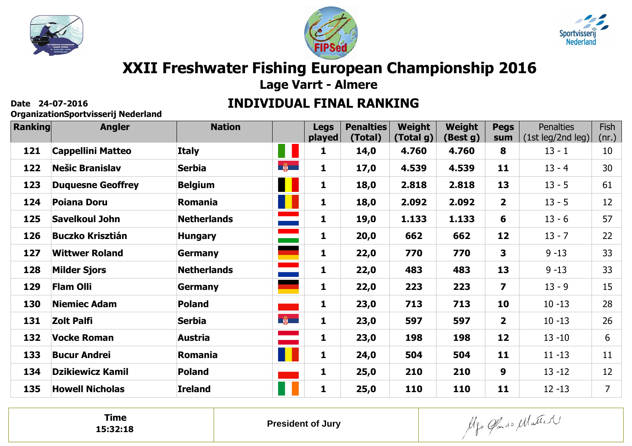





# **XXII Freshwater Fishing European Championship 2016**

**Lage Varrt - Almere**

#### **INDIVIDUAL FINAL RANKING**

**OrganizationSportvisserij Nederland**

| <b>Ranking</b> | <b>Angler</b>            | <b>Nation</b>      |                     | <b>Legs</b><br>played | <b>Penalties</b><br>(Total) | Weight<br>(Total g) | Weight<br>(Best g) | <b>Pegs</b><br>sum      | <b>Penalties</b><br>(1st leg/2nd leg) | Fish<br>(nr.)  |
|----------------|--------------------------|--------------------|---------------------|-----------------------|-----------------------------|---------------------|--------------------|-------------------------|---------------------------------------|----------------|
| 121            | <b>Cappellini Matteo</b> | <b>Italy</b>       | 11                  | 1                     | 14,0                        | 4.760               | 4.760              | 8                       | $13 - 1$                              | 10             |
| 122            | <b>Nešic Branislav</b>   | <b>Serbia</b>      | $\frac{1}{2}$       | 1                     | 17,0                        | 4.539               | 4.539              | 11                      | $13 - 4$                              | 30             |
| 123            | <b>Duquesne Geoffrey</b> | <b>Belgium</b>     | Н                   | 1                     | 18,0                        | 2.818               | 2.818              | 13                      | $13 - 5$                              | 61             |
| 124            | <b>Poiana Doru</b>       | Romania            | н                   | $\mathbf{1}$          | 18,0                        | 2.092               | 2.092              | $\overline{\mathbf{2}}$ | $13 - 5$                              | 12             |
| 125            | <b>Savelkoul John</b>    | <b>Netherlands</b> | <u>ana a</u>        | 1                     | 19,0                        | 1.133               | 1.133              | 6                       | $13 - 6$                              | 57             |
| 126            | <b>Buczko Krisztián</b>  | <b>Hungary</b>     |                     | 1                     | 20,0                        | 662                 | 662                | 12                      | $13 - 7$                              | 22             |
| 127            | <b>Wittwer Roland</b>    | <b>Germany</b>     |                     | $\mathbf{1}$          | 22,0                        | 770                 | 770                | 3                       | $9 - 13$                              | 33             |
| 128            | <b>Milder Sjors</b>      | <b>Netherlands</b> | and and the season. | 1                     | 22,0                        | 483                 | 483                | 13                      | $9 - 13$                              | 33             |
| 129            | <b>Flam Olli</b>         | <b>Germany</b>     |                     | 1                     | 22,0                        | 223                 | 223                | $\overline{\mathbf{z}}$ | $13 - 9$                              | 15             |
| 130            | <b>Niemiec Adam</b>      | <b>Poland</b>      |                     | 1                     | 23,0                        | 713                 | 713                | 10                      | $10 - 13$                             | 28             |
| 131            | Zolt Palfi               | <b>Serbia</b>      | $-\frac{1}{2}$      | 1                     | 23,0                        | 597                 | 597                | $\overline{\mathbf{2}}$ | $10 - 13$                             | 26             |
| 132            | <b>Vocke Roman</b>       | <b>Austria</b>     |                     | 1                     | 23,0                        | 198                 | 198                | 12                      | $13 - 10$                             | 6              |
| 133            | <b>Bucur Andrei</b>      | Romania            | U                   | 1                     | 24,0                        | 504                 | 504                | 11                      | $11 - 13$                             | 11             |
| 134            | <b>Dzikiewicz Kamil</b>  | <b>Poland</b>      |                     | 1                     | 25,0                        | 210                 | 210                | 9                       | $13 - 12$                             | 12             |
| 135            | <b>Howell Nicholas</b>   | <b>Ireland</b>     |                     | 1                     | 25,0                        | 110                 | 110                | 11                      | $12 - 13$                             | $\overline{7}$ |

**Time15:32:18**

Algo Gardo Matter